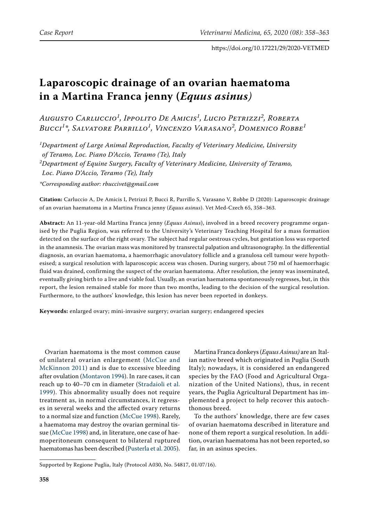# **Laparoscopic drainage of an ovarian haematoma in a Martina Franca jenny (***Equus asinus)*

*Augusto Carluccio<sup>1</sup> , Ippolito De Amicis<sup>1</sup> , Lucio Petrizzi<sup>2</sup> , Roberta Bucci<sup>1</sup> \*, Salvatore Parrillo<sup>1</sup> , Vincenzo Varasano<sup>2</sup> , Domenico Robbe<sup>1</sup>*

*1 Department of Large Animal Reproduction, Faculty of Veterinary Medicine, University of Teramo, Loc. Piano D'Accio, Teramo (Te), Italy 2 Department of Equine Surgery, Faculty of Veterinary Medicine, University of Teramo, Loc. Piano D'Accio, Teramo (Te), Italy \*Corresponding author: rbuccivet@gmail.com* 

**Citation:** Carluccio A, De Amicis I, Petrizzi P, Bucci R, Parrillo S, Varasano V, Robbe D (2020): Laparoscopic drainage of an ovarian haematoma in a Martina Franca jenny (*Equus asinus*). Vet Med-Czech 65, 358–363.

**Abstract:** An 11-year-old Martina Franca jenny (*Equus Asinus*), involved in a breed recovery programme organised by the Puglia Region, was referred to the University's Veterinary Teaching Hospital for a mass formation detected on the surface of the right ovary. The subject had regular oestrous cycles, but gestation loss was reported in the anamnesis. The ovarian mass was monitored by transrectal palpation and ultrasonography. In the differential diagnosis, an ovarian haematoma, a haemorrhagic anovulatory follicle and a granulosa cell tumour were hypothesised; a surgical resolution with laparoscopic access was chosen. During surgery, about 750 ml of haemorrhagic fluid was drained, confirming the suspect of the ovarian haematoma. After resolution, the jenny was inseminated, eventually giving birth to a live and viable foal. Usually, an ovarian haematoma spontaneously regresses, but, in this report, the lesion remained stable for more than two months, leading to the decision of the surgical resolution. Furthermore, to the authors' knowledge, this lesion has never been reported in donkeys.

**Keywords:** enlarged ovary; mini-invasive surgery; ovarian surgery; endangered species

Ovarian haematoma is the most common cause of unilateral ovarian enlargement ([McCue and](#page-5-0)  [McKinnon 2011\)](#page-5-0) and is due to excessive bleeding after ovulation ([Montavon 1994\)](#page-5-1). In rare cases, it can reach up to 40–70 cm in diameter ([Stradaioli et al.](#page-5-2)  [1999\)](#page-5-2). This abnormality usually does not require treatment as, in normal circumstances, it regresses in several weeks and the affected ovary returns to a normal size and function [\(McCue 1998\)](#page-5-3). Rarely, a haematoma may destroy the ovarian germinal tissue ([McCue 1998\)](#page-5-3) and, in literature, one case of haemoperitoneum consequent to bilateral ruptured haematomas has been described ([Pusterla et al. 2005\)](#page-5-4).

Martina Franca donkeys (*Equus Asinus)* are an Italian native breed which originated in Puglia (South Italy); nowadays, it is considered an endangered species by the FAO (Food and Agricultural Organization of the United Nations), thus, in recent years, the Puglia Agricultural Department has implemented a project to help recover this autochthonous breed.

To the authors' knowledge, there are few cases of ovarian haematoma described in literature and none of them report a surgical resolution. In addition, ovarian haematoma has not been reported, so far, in an asinus species.

Supported by Regione Puglia, Italy (Protocol A030, No. 54817, 01/07/16).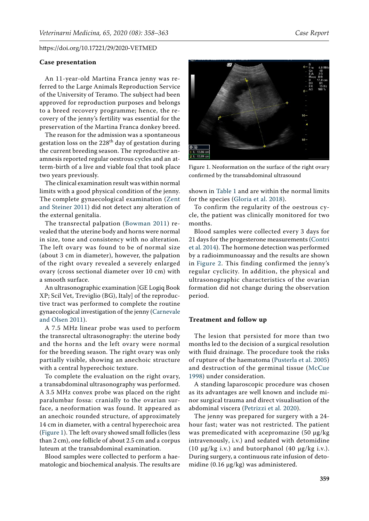#### **Case presentation**

An 11-year-old Martina Franca jenny was referred to the Large Animals Reproduction Service of the University of Teramo. The subject had been approved for reproduction purposes and belongs to a breed recovery programme; hence, the recovery of the jenny's fertility was essential for the preservation of the Martina Franca donkey breed.

The reason for the admission was a spontaneous gestation loss on the  $228<sup>th</sup>$  day of gestation during the current breeding season. The reproductive anamnesis reported regular oestrous cycles and an atterm-birth of a live and viable foal that took place two years previously.

The clinical examination result was within normal limits with a good physical condition of the jenny. The complete gynaecological examination ([Zent](#page-5-5)  [and Steiner 2011](#page-5-5)) did not detect any alteration of the external genitalia.

The transrectal palpation ([Bowman 2011\)](#page-4-0) revealed that the uterine body and horns were normal in size, tone and consistency with no alteration. The left ovary was found to be of normal size (about 3 cm in diameter), however, the palpation of the right ovary revealed a severely enlarged ovary (cross sectional diameter over 10 cm) with a smooth surface.

An ultrasonographic examination [GE Logiq Book XP; Scil Vet, Treviglio (BG), Italy] of the reproductive tract was performed to complete the routine gynaecological investigation of the jenny ([Carnevale](#page-4-1)  [and Olsen 2011](#page-4-1)).

A 7.5 MHz linear probe was used to perform the transrectal ultrasonography: the uterine body and the horns and the left ovary were normal for the breeding season. The right ovary was only partially visible, showing an anechoic structure with a central hyperechoic texture.

To complete the evaluation on the right ovary, a transabdominal ultrasonography was performed. A 3.5 MHz convex probe was placed on the right paralumbar fossa: cranially to the ovarian surface, a neoformation was found. It appeared as an anechoic rounded structure, of approximately 14 cm in diameter, with a central hyperechoic area [\(Figure 1](#page-1-0)). The left ovary showed small follicles (less than 2 cm), one follicle of about 2.5 cm and a corpus luteum at the transabdominal examination.

Blood samples were collected to perform a haematologic and biochemical analysis. The results are

1 L 13.86 cm<br>2 L 13.99 cm

Figure 1. Neoformation on the surface of the right ovary confirmed by the transabdominal ultrasound

shown in [Table 1](#page-2-0) and are within the normal limits for the species [\(Gloria et al. 2018](#page-4-2)).

To confirm the regularity of the oestrous cycle, the patient was clinically monitored for two months.

Blood samples were collected every 3 days for 21 days for the progesterone measurements [\(Contri](#page-4-3) [et al. 2014](#page-4-3)). The hormone detection was performed by a radioimmunoassay and the results are shown in [Figure 2](#page-2-1). This finding confirmed the jenny's regular cyclicity. In addition, the physical and ultrasonographic characteristics of the ovarian formation did not change during the observation period.

#### **Treatment and follow up**

The lesion that persisted for more than two months led to the decision of a surgical resolution with fluid drainage. The procedure took the risks of rupture of the haematoma ([Pusterla et al. 2005](#page-5-4)) and destruction of the germinal tissue ([McCue](#page-5-3) [1998\)](#page-5-3) under consideration.

A standing laparoscopic procedure was chosen as its advantages are well known and include minor surgical trauma and direct visualisation of the abdominal viscera ([Petrizzi et al. 2020](#page-5-6)).

The jenny was prepared for surgery with a 24 hour fast; water was not restricted. The patient was premedicated with acepromazine (50 µg/kg) intravenously, i.v.) and sedated with detomidine (10  $\mu$ g/kg i.v.) and butorphanol (40  $\mu$ g/kg i.v.). During surgery, a continuous rate infusion of detomidine (0.16 µg/kg) was administered.

<span id="page-1-0"></span>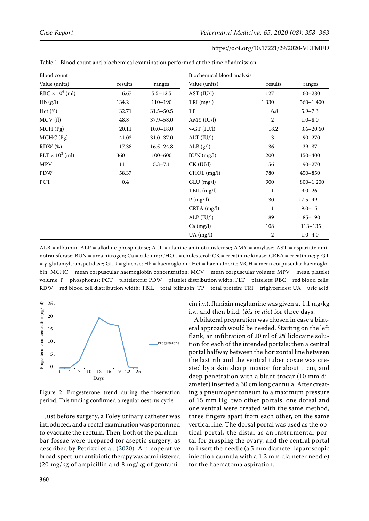| Blood count            |         |               | Biochemical blood analysis |                  |               |
|------------------------|---------|---------------|----------------------------|------------------|---------------|
| Value (units)          | results | ranges        | Value (units)              | results          | ranges        |
| $RBC \times 10^6$ (ml) | 6.67    | $5.5 - 12.5$  | AST (IU/I)                 | 127              | $60 - 280$    |
| Hb(g/l)                | 134.2   | $110 - 190$   | $TRI$ (mg/l)               | 1 3 3 0          | $560 - 1400$  |
| Hct(%)                 | 32.71   | $31.5 - 50.5$ | TP                         | 6.8              | $5.9 - 7.3$   |
| MCV(f)                 | 48.8    | 37.9-58.0     | AMY (IU/l)                 | 2                | $1.0 - 8.0$   |
| MCH(Pg)                | 20.11   | $10.0 - 18.0$ | $\gamma$ -GT (IU/l)        | 18.2             | $3.6 - 20.60$ |
| $MCHC$ (Pg)            | 41.03   | $31.0 - 37.0$ | ALT (IU/l)                 | 3                | $90 - 270$    |
| $RDW$ $(\%)$           | 17.38   | $16.5 - 24.8$ | ALB(g/l)                   | 36               | $29 - 37$     |
| $PLT \times 10^3$ (ml) | 360     | 100-600       | BUN (mg/l)                 | 200              | 150-400       |
| <b>MPV</b>             | 11      | $5.3 - 7.1$   | CK (IU/I)                  | 56               | $90 - 270$    |
| PDW                    | 58.37   |               | CHOL (mg/l)                | 780              | $450 - 850$   |
| PCT                    | 0.4     |               | $GLU$ (mg/l)               | 900              | $800 - 1200$  |
|                        |         |               | TBIL (mg/l)                | $\mathbf{1}$     | $9.0 - 26$    |
|                        |         |               | P(mg/l)                    | 30               | $17.5 - 49$   |
|                        |         |               | $CREA$ (mg/l)              | 11               | $9.0 - 15$    |
|                        |         |               | ALP (IU/I)                 | 89               | $85 - 190$    |
|                        |         |               | Ca (mg/l)                  | 108              | $113 - 135$   |
|                        |         |               | $UA$ (mg/l)                | $\boldsymbol{2}$ | $1.0 - 4.0$   |

<span id="page-2-0"></span>Table 1. Blood count and biochemical examination performed at the time of admission

ALB = albumin; ALP = alkaline phosphatase; ALT = alanine aminotransferase; AMY = amylase; AST = aspartate aminotransferase; BUN = urea nitrogen; Ca = calcium; CHOL = cholesterol; CK = creatinine kinase; CREA = creatinine; γ-GT = γ-glutamyltranspetidase; GLU = glucose; Hb = haemoglobin; Hct = haematocrit; MCH = mean corpuscular haemoglobin; MCHC = mean corpuscular haemoglobin concentration; MCV = mean corpuscular volume; MPV = mean platelet volume; P = phosphorus; PCT = plateletcrit; PDW = platelet distribution width; PLT = platelets; RBC = red blood cells; RDW = red blood cell distribution width; TBIL = total bilirubin; TP = total protein; TRI = triglycerides; UA = uric acid

<span id="page-2-1"></span>

Figure 2. Progesterone trend during the observation period. This finding confirmed a regular oestrus cycle

Just before surgery, a Foley urinary catheter was introduced, and a rectal examination was performed to evacuate the rectum. Then, both of the paralumbar fossae were prepared for aseptic surgery, as described by [Petrizzi et al. \(2020\)](#page-5-6). A preoperative broad-spectrum antibiotic therapy was administered (20 mg/kg of ampicillin and 8 mg/kg of gentamicin i.v.), flunixin meglumine was given at 1.1 mg/kg i.v., and then b.i.d. (*bis in die*) for three days.

A bilateral preparation was chosen in case a bilateral approach would be needed. Starting on the left flank, an infiltration of 20 ml of 2% lidocaine solution for each of the intended portals; then a central portal halfway between the horizontal line between the last rib and the ventral tuber coxae was created by a skin sharp incision for about 1 cm, and deep penetration with a blunt trocar (10 mm diameter) inserted a 30 cm long cannula. After creating a pneumoperitoneum to a maximum pressure of 15 mm Hg, two other portals, one dorsal and one ventral were created with the same method, three fingers apart from each other, on the same vertical line. The dorsal portal was used as the optical portal, the distal as an instrumental portal for grasping the ovary, and the central portal to insert the needle (a 5 mm diameter laparoscopic injection cannula with a 1.2 mm diameter needle) for the haematoma aspiration.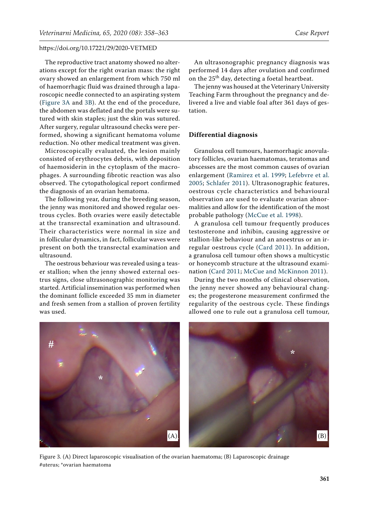The reproductive tract anatomy showed no alterations except for the right ovarian mass: the right ovary showed an enlargement from which 750 ml of haemorrhagic fluid was drained through a laparoscopic needle connected to an aspirating system [\(Figure 3A](#page-3-0) and [3B\)](#page-3-1). At the end of the procedure, the abdomen was deflated and the portals were sutured with skin staples; just the skin was sutured. After surgery, regular ultrasound checks were performed, showing a significant hematoma volume reduction. No other medical treatment was given.

Microscopically evaluated, the lesion mainly consisted of erythrocytes debris, with deposition of haemosiderin in the cytoplasm of the macrophages. A surrounding fibrotic reaction was also observed. The cytopathological report confirmed the diagnosis of an ovarian hematoma.

The following year, during the breeding season, the jenny was monitored and showed regular oestrous cycles. Both ovaries were easily detectable at the transrectal examination and ultrasound. Their characteristics were normal in size and in follicular dynamics, in fact, follicular waves were present on both the transrectal examination and ultrasound.

The oestrous behaviour was revealed using a teaser stallion; when the jenny showed external oestrus signs, close ultrasonographic monitoring was started. Artificial insemination was performed when the dominant follicle exceeded 35 mm in diameter and fresh semen from a stallion of proven fertility was used.

An ultrasonographic pregnancy diagnosis was performed 14 days after ovulation and confirmed on the 25<sup>th</sup> day, detecting a foetal heartbeat.

The jenny was housed at the Veterinary University Teaching Farm throughout the pregnancy and delivered a live and viable foal after 361 days of gestation.

#### **Differential diagnosis**

Granulosa cell tumours, haemorrhagic anovulatory follicles, ovarian haematomas, teratomas and abscesses are the most common causes of ovarian enlargement ([Ramirez et al. 1999;](#page-5-7) [Lefebvre et al.](#page-4-4) [2005](#page-4-4); [Schlafer 2011\)](#page-5-8). Ultrasonographic features, oestrous cycle characteristics and behavioural observation are used to evaluate ovarian abnormalities and allow for the identification of the most probable pathology ([McCue et al. 1998](#page-5-3)).

A granulosa cell tumour frequently produces testosterone and inhibin, causing aggressive or stallion-like behaviour and an anoestrus or an irregular oestrous cycle ([Card 2011](#page-4-5)). In addition, a granulosa cell tumour often shows a multicystic or honeycomb structure at the ultrasound examination ([Card 2011;](#page-4-5) [McCue and McKinnon 2011\)](#page-5-0).

<span id="page-3-1"></span>During the two months of clinical observation, the jenny never showed any behavioural changes; the progesterone measurement confirmed the regularity of the oestrous cycle. These findings allowed one to rule out a granulosa cell tumour,

<span id="page-3-0"></span>

Figure 3. (A) Direct laparoscopic visualisation of the ovarian haematoma; (B) Laparoscopic drainage #uterus; \*ovarian haematoma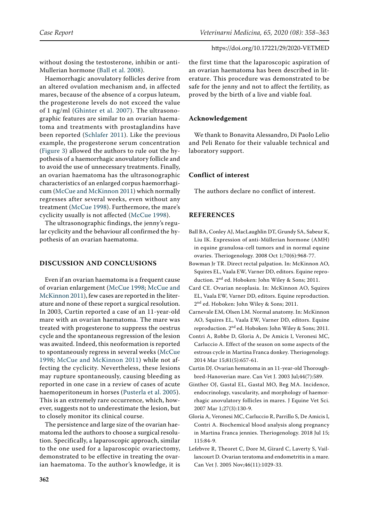without dosing the testosterone, inhibin or anti-Mullerian hormone ([Ball et al. 2008](#page-4-6)).

Haemorrhagic anovulatory follicles derive from an altered ovulation mechanism and, in affected mares, because of the absence of a corpus luteum, the progesterone levels do not exceed the value of 1 ng/ml ([Ghinter et al. 2007\)](#page-4-7). The ultrasonographic features are similar to an ovarian haematoma and treatments with prostaglandins have been reported ([Schlafer 2011](#page-5-8)). Like the previous example, the progesterone serum concentration [\(Figure 3](#page-3-0)) allowed the authors to rule out the hypothesis of a haemorrhagic anovulatory follicle and to avoid the use of unnecessary treatments. Finally, an ovarian haematoma has the ultrasonographic characteristics of an enlarged corpus haemorrhagicum [\(McCue and McKinnon 2011](#page-5-0)) which normally regresses after several weeks, even without any treatment ([McCue 1998](#page-5-3)). Furthermore, the mare's cyclicity usually is not affected ([McCue 1998\)](#page-5-3).

The ultrasonographic findings, the jenny's regular cyclicity and the behaviour all confirmed the hypothesis of an ovarian haematoma.

# **DISCUSSION AND CONCLUSIONS**

Even if an ovarian haematoma is a frequent cause of ovarian enlargement ([McCue 1998](#page-5-3); [McCue and](#page-5-0)  [McKinnon 2011](#page-5-0)), few cases are reported in the literature and none of these report a surgical resolution. In 2003, Curtin reported a case of an 11-year-old mare with an ovarian haematoma. The mare was treated with progesterone to suppress the oestrus cycle and the spontaneous regression of the lesion was awaited. Indeed, this neoformation is reported to spontaneously regress in several weeks ([McCue](#page-5-3)  [1998](#page-5-3); [McCue and McKinnon 2011](#page-5-0)) while not affecting the cyclicity. Nevertheless, these lesions may rupture spontaneously, causing bleeding as reported in one case in a review of cases of acute haemoperitoneum in horses ([Pusterla et al. 2005\)](#page-5-4). This is an extremely rare occurrence, which, however, suggests not to underestimate the lesion, but to closely monitor its clinical course.

The persistence and large size of the ovarian haematoma led the authors to choose a surgical resolution. Specifically, a laparoscopic approach, similar to the one used for a laparoscopic ovariectomy, demonstrated to be effective in treating the ovarian haematoma. To the author's knowledge, it is

the first time that the laparoscopic aspiration of an ovarian haematoma has been described in literature. This procedure was demonstrated to be safe for the jenny and not to affect the fertility, as proved by the birth of a live and viable foal.

# **Acknowledgement**

We thank to Bonavita Alessandro, Di Paolo Lelio and Peli Renato for their valuable technical and laboratory support.

## **Conflict of interest**

The authors declare no conflict of interest.

## **REFERENCES**

- <span id="page-4-6"></span>Ball BA, Conley AJ, MacLaughlin DT, Grundy SA, Sabeur K, Liu IK. Expression of anti-Müllerian hormone (AMH) in equine granulosa-cell tumors and in normal equine ovaries. Theriogenology. 2008 Oct 1;70(6):968-77.
- <span id="page-4-0"></span>Bowman Jr TR. Direct rectal palpation. In: McKinnon AO, Squires EL, Vaala EW, Varner DD, editors. Equine reproduction. 2<sup>nd</sup> ed. Hoboken: John Wiley & Sons; 2011.
- <span id="page-4-5"></span>Card CE. Ovarian neoplasia. In: McKinnon AO, Squires EL, Vaala EW, Varner DD, editors. Equine reproduction. 2<sup>nd</sup> ed. Hoboken: John Wiley & Sons; 2011.
- <span id="page-4-1"></span>Carnevale EM, Olsen LM. Normal anatomy. In: McKinnon AO, Squires EL, Vaala EW, Varner DD, editors. Equine reproduction. 2<sup>nd</sup> ed. Hoboken: John Wiley & Sons; 2011.
- <span id="page-4-3"></span>Contri A, Robbe D, Gloria A, De Amicis I, Veronesi MC, Carluccio A. Effect of the season on some aspects of the estrous cycle in Martina Franca donkey. Theriogenology. 2014 Mar 15;81(5):657-61.
- Curtin DJ. Ovarian hematoma in an 11-year-old Thoroughbred-Hanoverian mare. Can Vet J. 2003 Jul;44(7):589.
- <span id="page-4-7"></span>Ginther OJ, Gastal EL, Gastal MO, Beg MA. Incidence, endocrinology, vascularity, and morphology of haemorrhagic anovulatory follicles in mares. J Equine Vet Sci. 2007 Mar 1;27(3):130-9.
- <span id="page-4-2"></span>Gloria A, Veronesi MC, Carluccio R, Parrillo S, De Amicis I, Contri A. Biochemical blood analysis along pregnancy in Martina Franca jennies. Theriogenology. 2018 Jul 15; 115:84-9.
- <span id="page-4-4"></span>Lefebvre R, Theoret C, Dore M, Girard C, Laverty S, Vaillancourt D. Ovarian teratoma and endometritis in a mare. Can Vet J. 2005 Nov;46(11):1029-33.